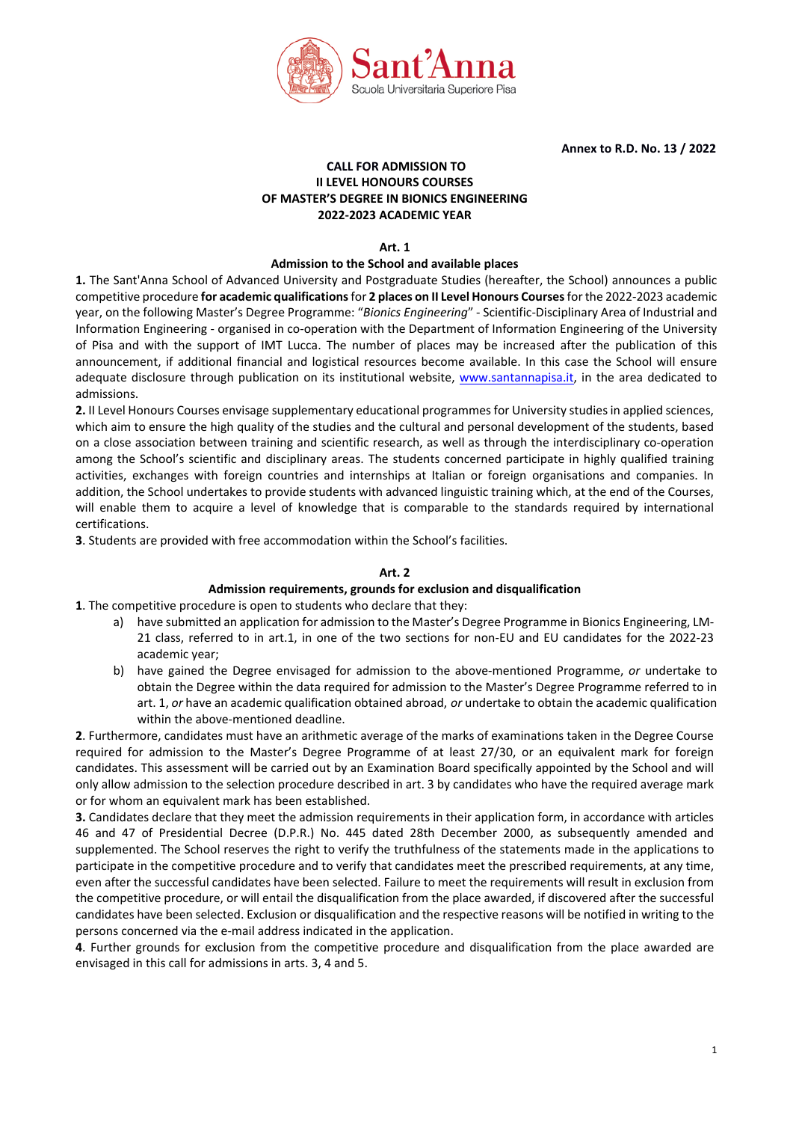

**Annex to R.D. No. 13 / 2022**

# **CALL FOR ADMISSION TO II LEVEL HONOURS COURSES OF MASTER'S DEGREE IN BIONICS ENGINEERING 2022-2023 ACADEMIC YEAR**

**Art. 1**

## **Admission to the School and available places**

**1.** The Sant'Anna School of Advanced University and Postgraduate Studies (hereafter, the School) announces a public competitive procedure **for academic qualifications** for **2 places on II Level Honours Courses** for the 2022-2023 academic year, on the following Master's Degree Programme: "*Bionics Engineering*" - Scientific-Disciplinary Area of Industrial and Information Engineering - organised in co-operation with the [Department of Information Engineering of the University](http://www.dii.unipi.it/) [of Pisa](http://www.dii.unipi.it/) and with the support of IMT Lucca. The number of places may be increased after the publication of this announcement, if additional financial and logistical resources become available. In this case the School will ensure adequate disclosure through publication on its institutional website, [www.santannapisa.it,](http://www.santannapisa.it/) in the area dedicated to admissions.

**2.** II Level Honours Courses envisage supplementary educational programmes for University studies in applied sciences, which aim to ensure the high quality of the studies and the cultural and personal development of the students, based on a close association between training and scientific research, as well as through the interdisciplinary co-operation among the School's scientific and disciplinary areas. The students concerned participate in highly qualified training activities, exchanges with foreign countries and internships at Italian or foreign organisations and companies. In addition, the School undertakes to provide students with advanced linguistic training which, at the end of the Courses, will enable them to acquire a level of knowledge that is comparable to the standards required by international certifications.

**3**. Students are provided with free accommodation within the School's facilities.

## **Art. 2**

### **Admission requirements, grounds for exclusion and disqualification**

**1**. The competitive procedure is open to students who declare that they:

- a) have submitted an application for admission to the Master's Degree Programme in Bionics Engineering, LM-21 class, referred to in art.1, in one of the two sections for non-EU and EU candidates for the 2022-23 academic year;
- b) have gained the Degree envisaged for admission to the above-mentioned Programme, *or* undertake to obtain the Degree within the data required for admission to the Master's Degree Programme referred to in art. 1, *or* have an academic qualification obtained abroad, *or* undertake to obtain the academic qualification within the above-mentioned deadline.

**2**. Furthermore, candidates must have an arithmetic average of the marks of examinations taken in the Degree Course required for admission to the Master's Degree Programme of at least 27/30, or an equivalent mark for foreign candidates. This assessment will be carried out by an Examination Board specifically appointed by the School and will only allow admission to the selection procedure described in art. 3 by candidates who have the required average mark or for whom an equivalent mark has been established.

**3.** Candidates declare that they meet the admission requirements in their application form, in accordance with articles 46 and 47 of Presidential Decree (D.P.R.) No. 445 dated 28th December 2000, as subsequently amended and supplemented. The School reserves the right to verify the truthfulness of the statements made in the applications to participate in the competitive procedure and to verify that candidates meet the prescribed requirements, at any time, even after the successful candidates have been selected. Failure to meet the requirements will result in exclusion from the competitive procedure, or will entail the disqualification from the place awarded, if discovered after the successful candidates have been selected. Exclusion or disqualification and the respective reasons will be notified in writing to the persons concerned via the e-mail address indicated in the application.

**4**. Further grounds for exclusion from the competitive procedure and disqualification from the place awarded are envisaged in this call for admissions in arts. 3, 4 and 5.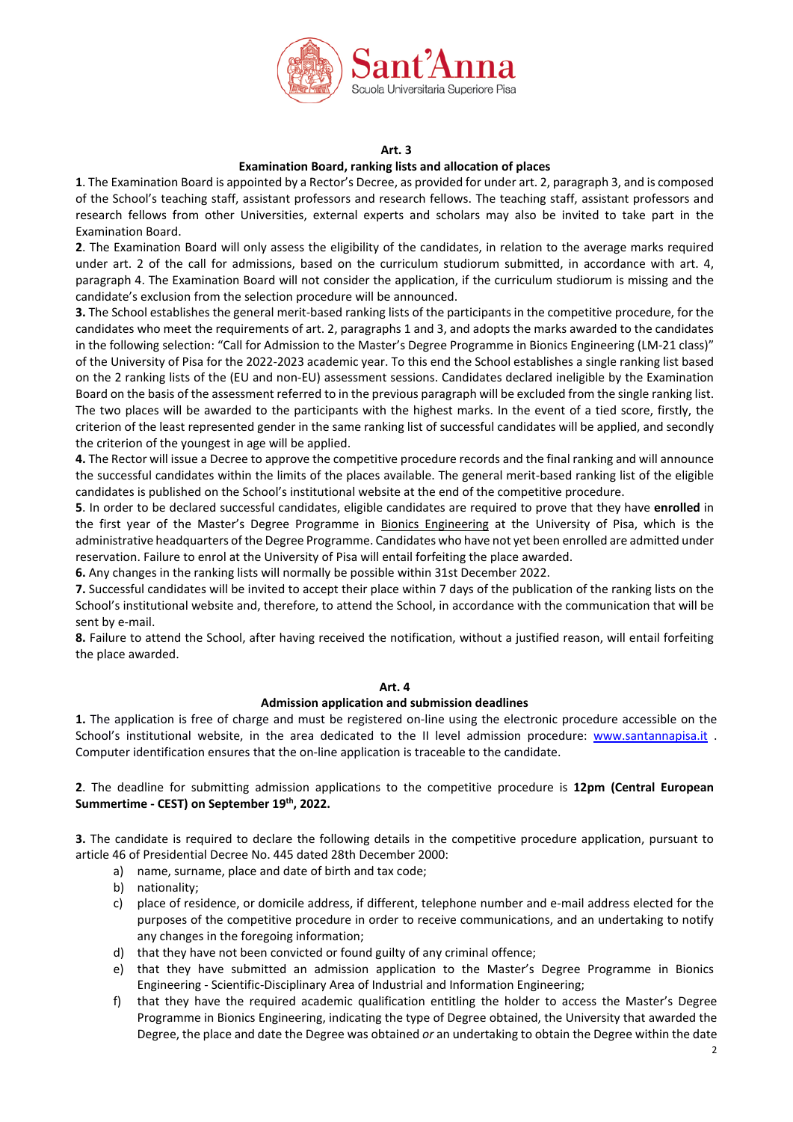

#### **Art. 3**

# **Examination Board, ranking lists and allocation of places**

**1**. The Examination Board is appointed by a Rector's Decree, as provided for under art. 2, paragraph 3, and is composed of the School's teaching staff, assistant professors and research fellows. The teaching staff, assistant professors and research fellows from other Universities, external experts and scholars may also be invited to take part in the Examination Board.

**2**. The Examination Board will only assess the eligibility of the candidates, in relation to the average marks required under art. 2 of the call for admissions, based on the curriculum studiorum submitted, in accordance with art. 4, paragraph 4. The Examination Board will not consider the application, if the curriculum studiorum is missing and the candidate's exclusion from the selection procedure will be announced.

**3.** The School establishes the general merit-based ranking lists of the participants in the competitive procedure, for the candidates who meet the requirements of art. 2, paragraphs 1 and 3, and adopts the marks awarded to the candidates in the following selection: "Call for Admission to the Master's Degree Programme in Bionics Engineering (LM-21 class)" of the University of Pisa for the 2022-2023 academic year. To this end the School establishes a single ranking list based on the 2 ranking lists of the (EU and non-EU) assessment sessions. Candidates declared ineligible by the Examination Board on the basis of the assessment referred to in the previous paragraph will be excluded from the single ranking list. The two places will be awarded to the participants with the highest marks. In the event of a tied score, firstly, the criterion of the least represented gender in the same ranking list of successful candidates will be applied, and secondly the criterion of the youngest in age will be applied.

**4.** The Rector will issue a Decree to approve the competitive procedure records and the final ranking and will announce the successful candidates within the limits of the places available. The general merit-based ranking list of the eligible candidates is published on the School's institutional website at the end of the competitive procedure.

**5**. In order to be declared successful candidates, eligible candidates are required to prove that they have **enrolled** in the first year of the Master's Degree Programme in Bionics Engineering at the University of Pisa, which is the administrative headquarters of the Degree Programme. Candidates who have not yet been enrolled are admitted under reservation. Failure to enrol at the University of Pisa will entail forfeiting the place awarded.

**6.** Any changes in the ranking lists will normally be possible within 31st December 2022.

**7.** Successful candidates will be invited to accept their place within 7 days of the publication of the ranking lists on the School's institutional website and, therefore, to attend the School, in accordance with the communication that will be sent by e-mail.

**8.** Failure to attend the School, after having received the notification, without a justified reason, will entail forfeiting the place awarded.

#### **Art. 4**

#### **Admission application and submission deadlines**

**1.** The application is free of charge and must be registered on-line using the electronic procedure accessible on the School's institutional website, in the area dedicated to the II level admission procedure: [www.santannapisa.it](http://www.santannapisa.it/) . Computer identification ensures that the on-line application is traceable to the candidate.

**2**. The deadline for submitting admission applications to the competitive procedure is **12pm (Central European Summertime - CEST) on September 19th, 2022.**

**3.** The candidate is required to declare the following details in the competitive procedure application, pursuant to article 46 of Presidential Decree No. 445 dated 28th December 2000:

- a) name, surname, place and date of birth and tax code;
- b) nationality;
- c) place of residence, or domicile address, if different, telephone number and e-mail address elected for the purposes of the competitive procedure in order to receive communications, and an undertaking to notify any changes in the foregoing information;
- d) that they have not been convicted or found guilty of any criminal offence;
- e) that they have submitted an admission application to the Master's Degree Programme in Bionics Engineering - Scientific-Disciplinary Area of Industrial and Information Engineering;
- f) that they have the required academic qualification entitling the holder to access the Master's Degree Programme in Bionics Engineering, indicating the type of Degree obtained, the University that awarded the Degree, the place and date the Degree was obtained *or* an undertaking to obtain the Degree within the date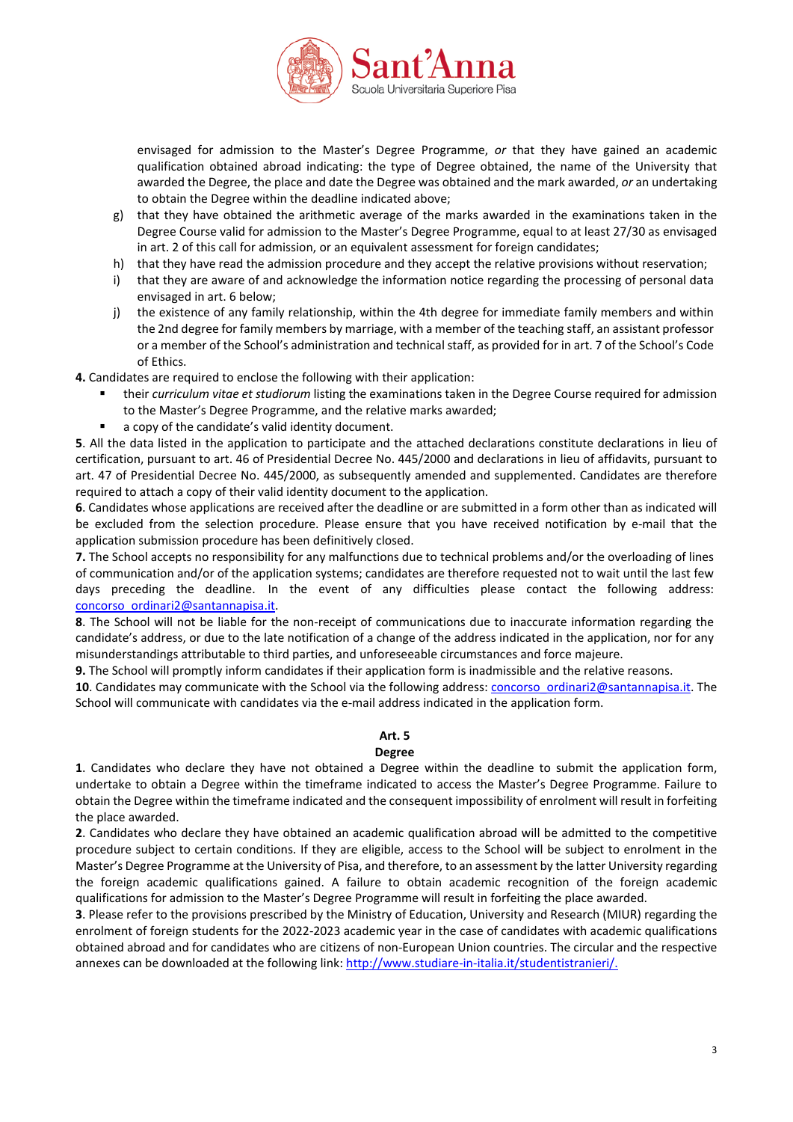

envisaged for admission to the Master's Degree Programme, *or* that they have gained an academic qualification obtained abroad indicating: the type of Degree obtained, the name of the University that awarded the Degree, the place and date the Degree was obtained and the mark awarded, *or* an undertaking to obtain the Degree within the deadline indicated above;

- g) that they have obtained the arithmetic average of the marks awarded in the examinations taken in the Degree Course valid for admission to the Master's Degree Programme, equal to at least 27/30 as envisaged in art. 2 of this call for admission, or an equivalent assessment for foreign candidates;
- h) that they have read the admission procedure and they accept the relative provisions without reservation;
- i) that they are aware of and acknowledge the information notice regarding the processing of personal data envisaged in art. 6 below;
- j) the existence of any family relationship, within the 4th degree for immediate family members and within the 2nd degree for family members by marriage, with a member of the teaching staff, an assistant professor or a member of the School's administration and technical staff, as provided for in art. 7 of the School's Code of Ethics.

**4.** Candidates are required to enclose the following with their application:

- their *curriculum vitae et studiorum* listing the examinations taken in the Degree Course required for admission to the Master's Degree Programme, and the relative marks awarded;
- a copy of the candidate's valid identity document.

**5**. All the data listed in the application to participate and the attached declarations constitute declarations in lieu of certification, pursuant to art. 46 of Presidential Decree No. 445/2000 and declarations in lieu of affidavits, pursuant to art. 47 of Presidential Decree No. 445/2000, as subsequently amended and supplemented. Candidates are therefore required to attach a copy of their valid identity document to the application.

**6**. Candidates whose applications are received after the deadline or are submitted in a form other than as indicated will be excluded from the selection procedure. Please ensure that you have received notification by e-mail that the application submission procedure has been definitively closed.

**7.** The School accepts no responsibility for any malfunctions due to technical problems and/or the overloading of lines of communication and/or of the application systems; candidates are therefore requested not to wait until the last few days preceding the deadline. In the event of any difficulties please contact the following address: [concorso\\_ordinari2@santannapisa.it.](mailto:concorso_ordinari2@santannapisa.it)

**8**. The School will not be liable for the non-receipt of communications due to inaccurate information regarding the candidate's address, or due to the late notification of a change of the address indicated in the application, nor for any misunderstandings attributable to third parties, and unforeseeable circumstances and force majeure.

**9.** The School will promptly inform candidates if their application form is inadmissible and the relative reasons.

**10**. Candidates may communicate with the School via the following address: [concorso\\_ordinari2@santannapisa.it.](mailto:concorso_ordinari2@santannapisa.it) The School will communicate with candidates via the e-mail address indicated in the application form.

# **Art. 5**

## **Degree**

**1**. Candidates who declare they have not obtained a Degree within the deadline to submit the application form, undertake to obtain a Degree within the timeframe indicated to access the Master's Degree Programme. Failure to obtain the Degree within the timeframe indicated and the consequent impossibility of enrolment will result in forfeiting the place awarded.

**2**. Candidates who declare they have obtained an academic qualification abroad will be admitted to the competitive procedure subject to certain conditions. If they are eligible, access to the School will be subject to enrolment in the Master's Degree Programme at the University of Pisa, and therefore, to an assessment by the latter University regarding the foreign academic qualifications gained. A failure to obtain academic recognition of the foreign academic qualifications for admission to the Master's Degree Programme will result in forfeiting the place awarded.

**3**. Please refer to the provisions prescribed by the Ministry of Education, University and Research (MIUR) regarding the enrolment of foreign students for the 2022-2023 academic year in the case of candidates with academic qualifications obtained abroad and for candidates who are citizens of non-European Union countries. The circular and the respective annexes can be downloaded at the following link: [http://www.studiare-in-italia.it/studentistranieri/.](http://www.studiare-in-italia.it/studentistranieri/)